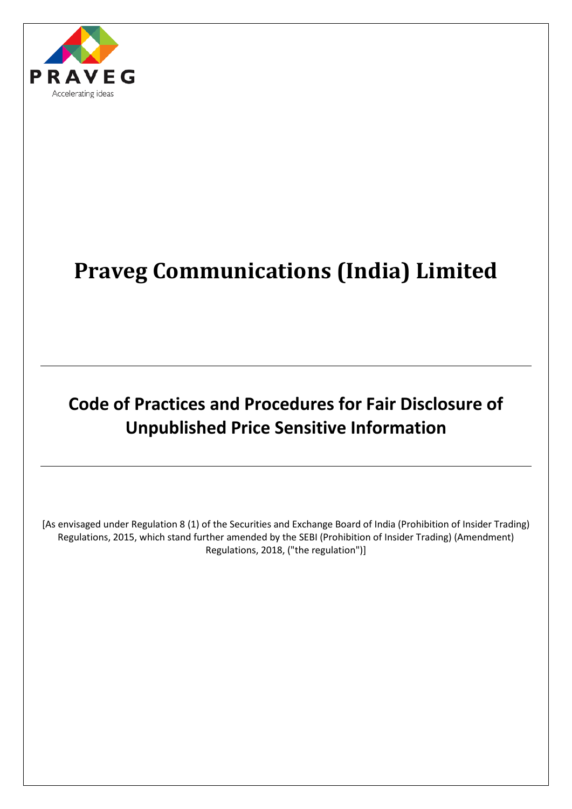

# **Praveg Communications (India) Limited**

## **Code of Practices and Procedures for Fair Disclosure of Unpublished Price Sensitive Information**

[As envisaged under Regulation 8 (1) of the Securities and Exchange Board of India (Prohibition of Insider Trading) Regulations, 2015, which stand further amended by the SEBI (Prohibition of Insider Trading) (Amendment) Regulations, 2018, ("the regulation")]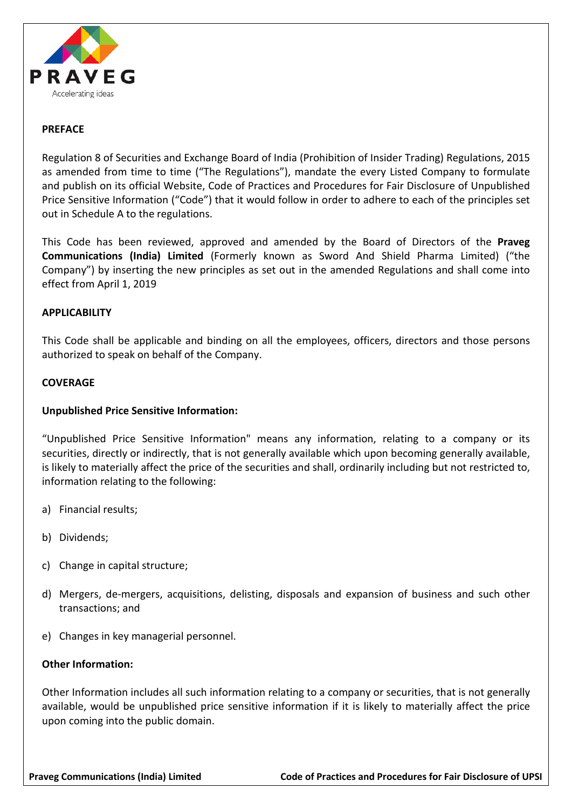

#### **PREFACE**

Regulation 8 of Securities and Exchange Board of India (Prohibition of Insider Trading) Regulations, 2015 as amended from time to time ("The Regulations"), mandate the every Listed Company to formulate and publish on its official Website, Code of Practices and Procedures for Fair Disclosure of Unpublished Price Sensitive Information ("Code") that it would follow in order to adhere to each of the principles set out in Schedule A to the regulations.

This Code has been reviewed, approved and amended by the Board of Directors of the **Praveg Communications (India) Limited** (Formerly known as Sword And Shield Pharma Limited) ("the Company") by inserting the new principles as set out in the amended Regulations and shall come into effect from April 1, 2019

#### **APPLICABILITY**

This Code shall be applicable and binding on all the employees, officers, directors and those persons authorized to speak on behalf of the Company.

#### **COVERAGE**

#### **Unpublished Price Sensitive Information:**

"Unpublished Price Sensitive Information" means any information, relating to a company or its securities, directly or indirectly, that is not generally available which upon becoming generally available, is likely to materially affect the price of the securities and shall, ordinarily including but not restricted to, information relating to the following:

- a) Financial results;
- b) Dividends;
- c) Change in capital structure;
- d) Mergers, de-mergers, acquisitions, delisting, disposals and expansion of business and such other transactions; and
- e) Changes in key managerial personnel.

#### **Other Information:**

Other Information includes all such information relating to a company or securities, that is not generally available, would be unpublished price sensitive information if it is likely to materially affect the price upon coming into the public domain.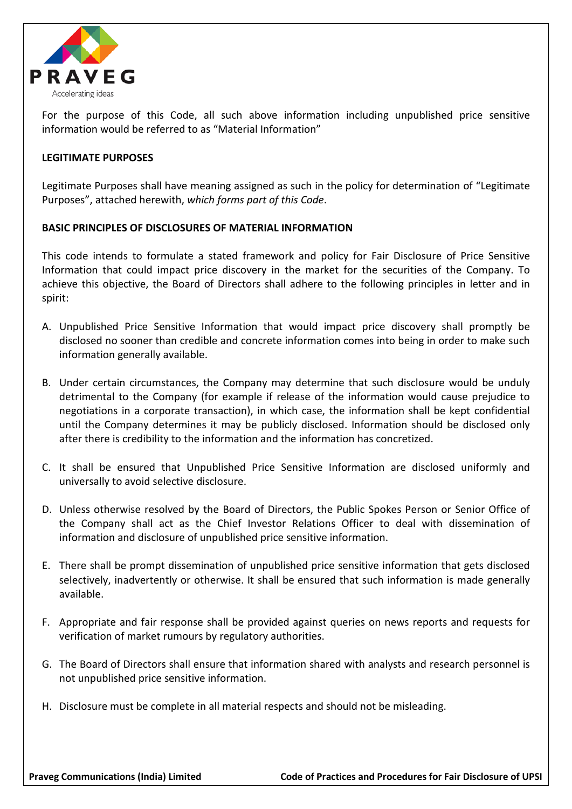

For the purpose of this Code, all such above information including unpublished price sensitive information would be referred to as "Material Information"

#### **LEGITIMATE PURPOSES**

Legitimate Purposes shall have meaning assigned as such in the policy for determination of "Legitimate Purposes", attached herewith, *which forms part of this Code*.

#### **BASIC PRINCIPLES OF DISCLOSURES OF MATERIAL INFORMATION**

This code intends to formulate a stated framework and policy for Fair Disclosure of Price Sensitive Information that could impact price discovery in the market for the securities of the Company. To achieve this objective, the Board of Directors shall adhere to the following principles in letter and in spirit:

- A. Unpublished Price Sensitive Information that would impact price discovery shall promptly be disclosed no sooner than credible and concrete information comes into being in order to make such information generally available.
- B. Under certain circumstances, the Company may determine that such disclosure would be unduly detrimental to the Company (for example if release of the information would cause prejudice to negotiations in a corporate transaction), in which case, the information shall be kept confidential until the Company determines it may be publicly disclosed. Information should be disclosed only after there is credibility to the information and the information has concretized.
- C. It shall be ensured that Unpublished Price Sensitive Information are disclosed uniformly and universally to avoid selective disclosure.
- D. Unless otherwise resolved by the Board of Directors, the Public Spokes Person or Senior Office of the Company shall act as the Chief Investor Relations Officer to deal with dissemination of information and disclosure of unpublished price sensitive information.
- E. There shall be prompt dissemination of unpublished price sensitive information that gets disclosed selectively, inadvertently or otherwise. It shall be ensured that such information is made generally available.
- F. Appropriate and fair response shall be provided against queries on news reports and requests for verification of market rumours by regulatory authorities.
- G. The Board of Directors shall ensure that information shared with analysts and research personnel is not unpublished price sensitive information.
- H. Disclosure must be complete in all material respects and should not be misleading.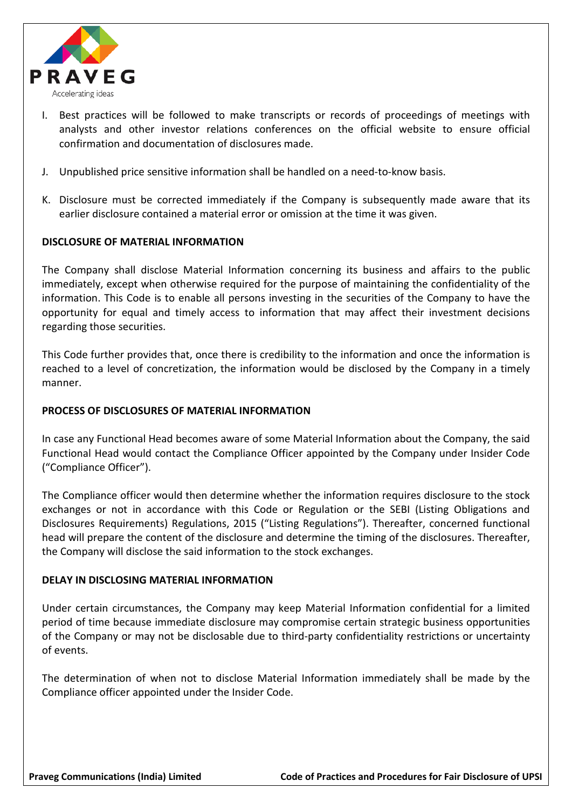

- I. Best practices will be followed to make transcripts or records of proceedings of meetings with analysts and other investor relations conferences on the official website to ensure official confirmation and documentation of disclosures made.
- J. Unpublished price sensitive information shall be handled on a need-to-know basis.
- K. Disclosure must be corrected immediately if the Company is subsequently made aware that its earlier disclosure contained a material error or omission at the time it was given.

#### **DISCLOSURE OF MATERIAL INFORMATION**

The Company shall disclose Material Information concerning its business and affairs to the public immediately, except when otherwise required for the purpose of maintaining the confidentiality of the information. This Code is to enable all persons investing in the securities of the Company to have the opportunity for equal and timely access to information that may affect their investment decisions regarding those securities.

This Code further provides that, once there is credibility to the information and once the information is reached to a level of concretization, the information would be disclosed by the Company in a timely manner.

#### **PROCESS OF DISCLOSURES OF MATERIAL INFORMATION**

In case any Functional Head becomes aware of some Material Information about the Company, the said Functional Head would contact the Compliance Officer appointed by the Company under Insider Code ("Compliance Officer").

The Compliance officer would then determine whether the information requires disclosure to the stock exchanges or not in accordance with this Code or Regulation or the SEBI (Listing Obligations and Disclosures Requirements) Regulations, 2015 ("Listing Regulations"). Thereafter, concerned functional head will prepare the content of the disclosure and determine the timing of the disclosures. Thereafter, the Company will disclose the said information to the stock exchanges.

#### **DELAY IN DISCLOSING MATERIAL INFORMATION**

Under certain circumstances, the Company may keep Material Information confidential for a limited period of time because immediate disclosure may compromise certain strategic business opportunities of the Company or may not be disclosable due to third-party confidentiality restrictions or uncertainty of events.

The determination of when not to disclose Material Information immediately shall be made by the Compliance officer appointed under the Insider Code.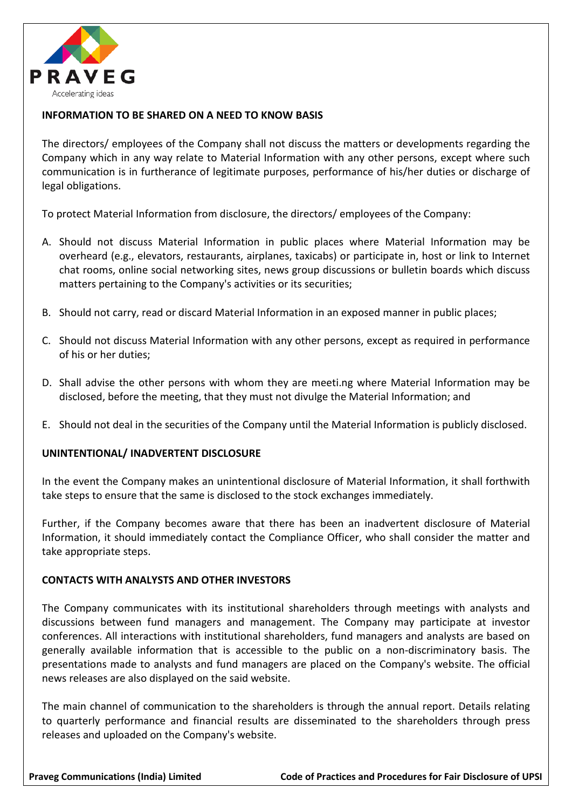

#### **INFORMATION TO BE SHARED ON A NEED TO KNOW BASIS**

The directors/ employees of the Company shall not discuss the matters or developments regarding the Company which in any way relate to Material Information with any other persons, except where such communication is in furtherance of legitimate purposes, performance of his/her duties or discharge of legal obligations.

To protect Material Information from disclosure, the directors/ employees of the Company:

- A. Should not discuss Material Information in public places where Material Information may be overheard (e.g., elevators, restaurants, airplanes, taxicabs) or participate in, host or link to Internet chat rooms, online social networking sites, news group discussions or bulletin boards which discuss matters pertaining to the Company's activities or its securities;
- B. Should not carry, read or discard Material Information in an exposed manner in public places;
- C. Should not discuss Material Information with any other persons, except as required in performance of his or her duties;
- D. Shall advise the other persons with whom they are meeti.ng where Material Information may be disclosed, before the meeting, that they must not divulge the Material Information; and
- E. Should not deal in the securities of the Company until the Material Information is publicly disclosed.

#### **UNINTENTIONAL/ INADVERTENT DISCLOSURE**

In the event the Company makes an unintentional disclosure of Material Information, it shall forthwith take steps to ensure that the same is disclosed to the stock exchanges immediately.

Further, if the Company becomes aware that there has been an inadvertent disclosure of Material Information, it should immediately contact the Compliance Officer, who shall consider the matter and take appropriate steps.

#### **CONTACTS WITH ANALYSTS AND OTHER INVESTORS**

The Company communicates with its institutional shareholders through meetings with analysts and discussions between fund managers and management. The Company may participate at investor conferences. All interactions with institutional shareholders, fund managers and analysts are based on generally available information that is accessible to the public on a non-discriminatory basis. The presentations made to analysts and fund managers are placed on the Company's website. The official news releases are also displayed on the said website.

The main channel of communication to the shareholders is through the annual report. Details relating to quarterly performance and financial results are disseminated to the shareholders through press releases and uploaded on the Company's website.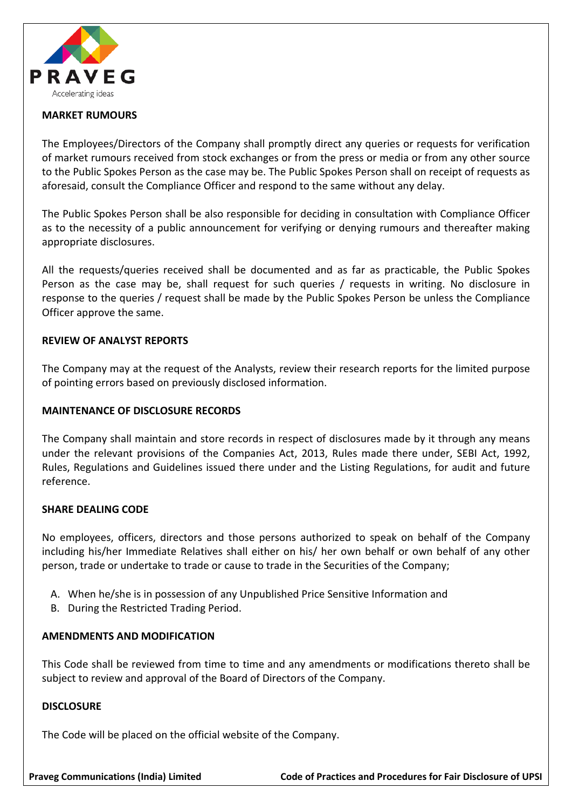

#### **MARKET RUMOURS**

The Employees/Directors of the Company shall promptly direct any queries or requests for verification of market rumours received from stock exchanges or from the press or media or from any other source to the Public Spokes Person as the case may be. The Public Spokes Person shall on receipt of requests as aforesaid, consult the Compliance Officer and respond to the same without any delay.

The Public Spokes Person shall be also responsible for deciding in consultation with Compliance Officer as to the necessity of a public announcement for verifying or denying rumours and thereafter making appropriate disclosures.

All the requests/queries received shall be documented and as far as practicable, the Public Spokes Person as the case may be, shall request for such queries / requests in writing. No disclosure in response to the queries / request shall be made by the Public Spokes Person be unless the Compliance Officer approve the same.

#### **REVIEW OF ANALYST REPORTS**

The Company may at the request of the Analysts, review their research reports for the limited purpose of pointing errors based on previously disclosed information.

#### **MAINTENANCE OF DISCLOSURE RECORDS**

The Company shall maintain and store records in respect of disclosures made by it through any means under the relevant provisions of the Companies Act, 2013, Rules made there under, SEBI Act, 1992, Rules, Regulations and Guidelines issued there under and the Listing Regulations, for audit and future reference.

#### **SHARE DEALING CODE**

No employees, officers, directors and those persons authorized to speak on behalf of the Company including his/her Immediate Relatives shall either on his/ her own behalf or own behalf of any other person, trade or undertake to trade or cause to trade in the Securities of the Company;

- A. When he/she is in possession of any Unpublished Price Sensitive Information and
- B. During the Restricted Trading Period.

#### **AMENDMENTS AND MODIFICATION**

This Code shall be reviewed from time to time and any amendments or modifications thereto shall be subject to review and approval of the Board of Directors of the Company.

#### **DISCLOSURE**

The Code will be placed on the official website of the Company.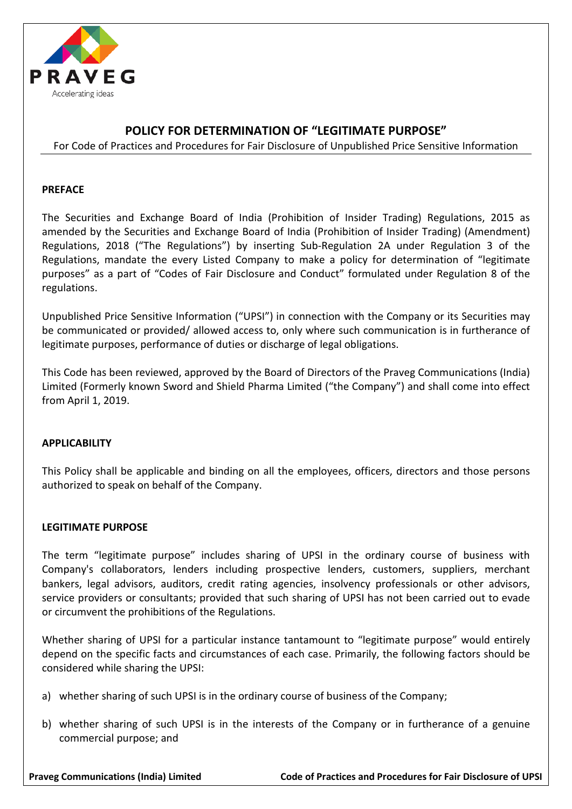

### **POLICY FOR DETERMINATION OF "LEGITIMATE PURPOSE"**

For Code of Practices and Procedures for Fair Disclosure of Unpublished Price Sensitive Information

#### **PREFACE**

The Securities and Exchange Board of India (Prohibition of Insider Trading) Regulations, 2015 as amended by the Securities and Exchange Board of India (Prohibition of Insider Trading) (Amendment) Regulations, 2018 ("The Regulations") by inserting Sub-Regulation 2A under Regulation 3 of the Regulations, mandate the every Listed Company to make a policy for determination of "legitimate purposes" as a part of "Codes of Fair Disclosure and Conduct" formulated under Regulation 8 of the regulations.

Unpublished Price Sensitive Information ("UPSI") in connection with the Company or its Securities may be communicated or provided/ allowed access to, only where such communication is in furtherance of legitimate purposes, performance of duties or discharge of legal obligations.

This Code has been reviewed, approved by the Board of Directors of the Praveg Communications (India) Limited (Formerly known Sword and Shield Pharma Limited ("the Company") and shall come into effect from April 1, 2019.

#### **APPLICABILITY**

This Policy shall be applicable and binding on all the employees, officers, directors and those persons authorized to speak on behalf of the Company.

#### **LEGITIMATE PURPOSE**

The term "legitimate purpose" includes sharing of UPSI in the ordinary course of business with Company's collaborators, lenders including prospective lenders, customers, suppliers, merchant bankers, legal advisors, auditors, credit rating agencies, insolvency professionals or other advisors, service providers or consultants; provided that such sharing of UPSI has not been carried out to evade or circumvent the prohibitions of the Regulations.

Whether sharing of UPSI for a particular instance tantamount to "legitimate purpose" would entirely depend on the specific facts and circumstances of each case. Primarily, the following factors should be considered while sharing the UPSI:

- a) whether sharing of such UPSI is in the ordinary course of business of the Company;
- b) whether sharing of such UPSI is in the interests of the Company or in furtherance of a genuine commercial purpose; and